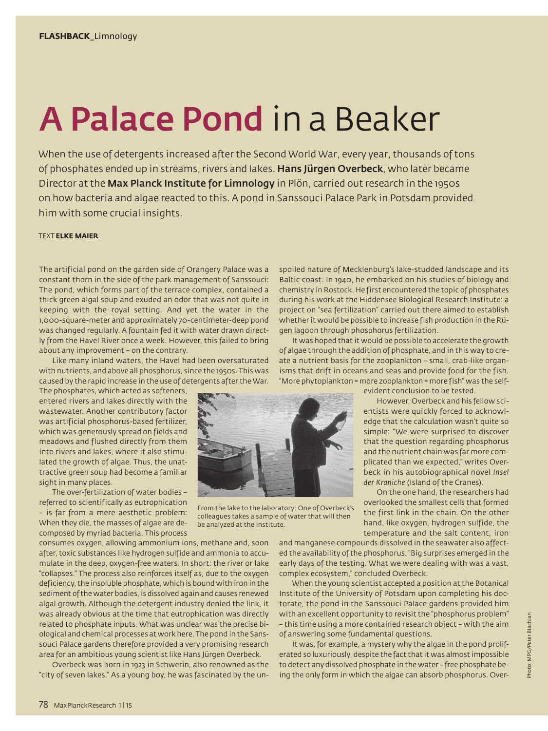## A Palace Pond in a Beaker

When the use of detergents increased after the Second World War, every year, thousands of tons of phosphates ended up in streams, rivers and lakes. Hans Jürgen Overbeck, who later became Director at the Max Planck Institute for Limnology in Plön, carried out research in the 1950s on how bacteria and algae reacted to this. A pond in Sanssouci Palace Park in Potsdam provided him with some crucial insights.

## TEXT **ELKE MAIER**

The artificial pond on the garden side of Orangery Palace was a constant thorn in the side of the park management of Sanssouci: The pond, which forms part of the terrace complex, contained a thick green algal soup and exuded an odor that was not quite in keeping with the royal setting. And yet the water in the 1,000-square-meter and approximately 70-centimeter-deep pond was changed regularly. A fountain fed it with water drawn directly from the Havel River once a week. However, this failed to bring about any improvement – on the contrary.

Like many inland waters, the Havel had been oversaturated with nutrients, and above all phosphorus, since the 1950s. This was caused by the rapid increase in the use of detergents after the War.

The phosphates, which acted as softeners, entered rivers and lakes directly with the wastewater. Another contributory factor was artificial phosphorus-based fertilizer, which was generously spread on fields and meadows and flushed directly from them into rivers and lakes, where it also stimulated the growth of algae. Thus, the unattractive green soup had become a familiar sight in many places.

The over-fertilization of water bodies – referred to scientifically as eutrophication – is far from a mere aesthetic problem: When they die, the masses of algae are decomposed by myriad bacteria. This process

consumes oxygen, allowing ammonium ions, methane and, soon after, toxic substances like hydrogen sulfide and ammonia to accumulate in the deep, oxygen-free waters. In short: the river or lake "collapses." The process also reinforces itself as, due to the oxygen deficiency, the insoluble phosphate, which is bound with iron in the sediment of the water bodies, is dissolved again and causes renewed algal growth. Although the detergent industry denied the link, it was already obvious at the time that eutrophication was directly related to phosphate inputs. What was unclear was the precise biological and chemical processes at work here. The pond in the Sanssouci Palace gardens therefore provided a very promising research area for an ambitious young scientist like Hans Jürgen Overbeck.

Overbeck was born in 1923 in Schwerin, also renowned as the "city of seven lakes." As a young boy, he was fascinated by the unspoiled nature of Mecklenburg's lake-studded landscape and its Baltic coast. In 1940, he embarked on his studies of biology and chemistry in Rostock. He first encountered the topic of phosphates during his work at the Hiddensee Biological Research Institute: a project on "sea fertilization" carried out there aimed to establish whether it would be possible to increase fish production in the Rügen lagoon through phosphorus fertilization.

It was hoped that it would be possible to accelerate the growth of algae through the addition of phosphate, and in this way to create a nutrient basis for the zooplankton – small, crab-like organisms that drift in oceans and seas and provide food for the fish. "More phytoplankton = more zooplankton = more fish" was the self-



From the lake to the laboratory: One of Overbeck's colleagues takes a sample of water that will then be analyzed at the institute.

evident conclusion to be tested.

However, Overbeck and his fellow scientists were quickly forced to acknowledge that the calculation wasn't quite so simple: "We were surprised to discover that the question regarding phosphorus and the nutrient chain was far more complicated than we expected," writes Overbeck in his autobiographical novel *Insel der Kraniche* (Island of the Cranes).

On the one hand, the researchers had overlooked the smallest cells that formed the first link in the chain. On the other hand, like oxygen, hydrogen sulfide, the temperature and the salt content, iron

and manganese compounds dissolved in the seawater also affected the availability of the phosphorus. "Big surprises emerged in the early days of the testing. What we were dealing with was a vast, complex ecosystem," concluded Overbeck.

When the young scientist accepted a position at the Botanical Institute of the University of Potsdam upon completing his doctorate, the pond in the Sanssouci Palace gardens provided him with an excellent opportunity to revisit the "phosphorus problem" – this time using a more contained research object – with the aim of answering some fundamental questions.

It was, for example, a mystery why the algae in the pond proliferated so luxuriously, despite the fact that it was almost impossible to detect any dissolved phosphate in the water – free phosphate being the only form in which the algae can absorb phosphorus. Over-